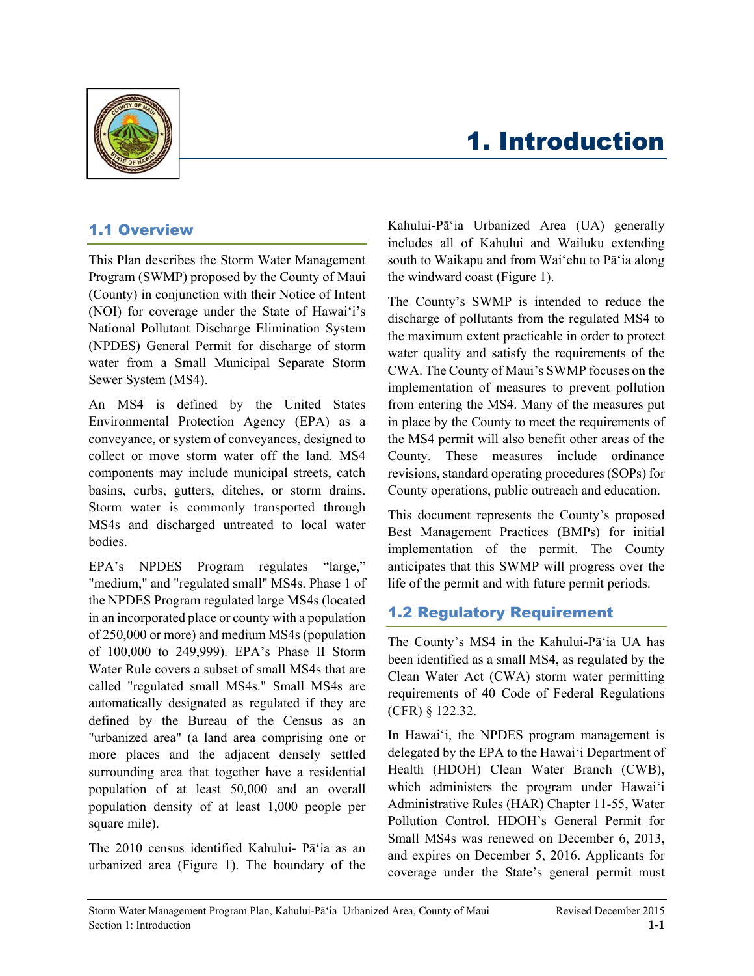

# 1. Introduction

### 1.1 Overview

This Plan describes the Storm Water Management Program (SWMP) proposed by the County of Maui (County) in conjunction with their Notice of Intent (NOI) for coverage under the State of Hawai'i's National Pollutant Discharge Elimination System (NPDES) General Permit for discharge of storm water from a Small Municipal Separate Storm Sewer System (MS4).

An MS4 is defined by the United States Environmental Protection Agency (EPA) as a conveyance, or system of conveyances, designed to collect or move storm water off the land. MS4 components may include municipal streets, catch basins, curbs, gutters, ditches, or storm drains. Storm water is commonly transported through MS4s and discharged untreated to local water bodies.

EPA's NPDES Program regulates "large," "medium," and "regulated small" MS4s. Phase 1 of the NPDES Program regulated large MS4s (located in an incorporated place or county with a population of 250,000 or more) and medium MS4s (population of 100,000 to 249,999). EPA's Phase II Storm Water Rule covers a subset of small MS4s that are called "regulated small MS4s." Small MS4s are automatically designated as regulated if they are defined by the Bureau of the Census as an "urbanized area" (a land area comprising one or more places and the adjacent densely settled surrounding area that together have a residential population of at least 50,000 and an overall population density of at least 1,000 people per square mile).

The 2010 census identified Kahului- Pā'ia as an urbanized area (Figure 1). The boundary of the Kahului-Pā'ia Urbanized Area (UA) generally includes all of Kahului and Wailuku extending south to Waikapu and from Wai'ehu to Pā'ia along the windward coast (Figure 1).

The County's SWMP is intended to reduce the discharge of pollutants from the regulated MS4 to the maximum extent practicable in order to protect water quality and satisfy the requirements of the CWA. The County of Maui's SWMP focuses on the implementation of measures to prevent pollution from entering the MS4. Many of the measures put in place by the County to meet the requirements of the MS4 permit will also benefit other areas of the County. These measures include ordinance revisions, standard operating procedures (SOPs) for County operations, public outreach and education.

This document represents the County's proposed Best Management Practices (BMPs) for initial implementation of the permit. The County anticipates that this SWMP will progress over the life of the permit and with future permit periods.

## 1.2 Regulatory Requirement

The County's MS4 in the Kahului-Pā'ia UA has been identified as a small MS4, as regulated by the Clean Water Act (CWA) storm water permitting requirements of 40 Code of Federal Regulations (CFR) § 122.32.

In Hawai'i, the NPDES program management is delegated by the EPA to the Hawai'i Department of Health (HDOH) Clean Water Branch (CWB), which administers the program under Hawai'i Administrative Rules (HAR) Chapter 11-55, Water Pollution Control. HDOH's General Permit for Small MS4s was renewed on December 6, 2013, and expires on December 5, 2016. Applicants for coverage under the State's general permit must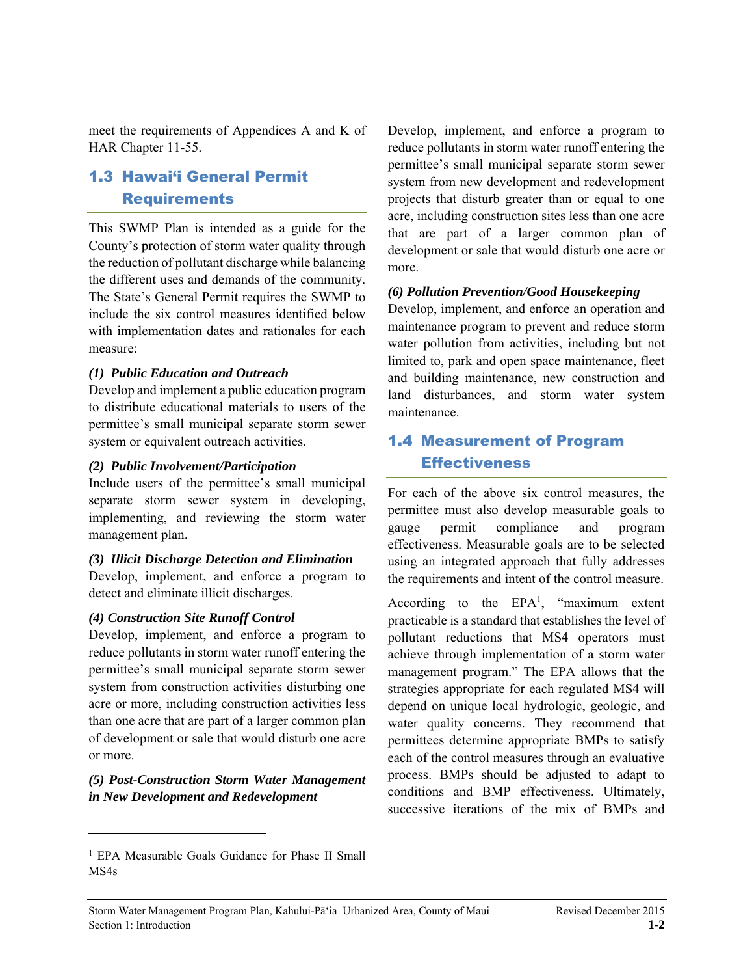meet the requirements of Appendices A and K of HAR Chapter 11-55.

# 1.3 Hawai'i General Permit Requirements

This SWMP Plan is intended as a guide for the County's protection of storm water quality through the reduction of pollutant discharge while balancing the different uses and demands of the community. The State's General Permit requires the SWMP to include the six control measures identified below with implementation dates and rationales for each measure:

#### *(1) Public Education and Outreach*

Develop and implement a public education program to distribute educational materials to users of the permittee's small municipal separate storm sewer system or equivalent outreach activities.

#### *(2) Public Involvement/Participation*

Include users of the permittee's small municipal separate storm sewer system in developing, implementing, and reviewing the storm water management plan.

#### *(3) Illicit Discharge Detection and Elimination*

Develop, implement, and enforce a program to detect and eliminate illicit discharges.

#### *(4) Construction Site Runoff Control*

Develop, implement, and enforce a program to reduce pollutants in storm water runoff entering the permittee's small municipal separate storm sewer system from construction activities disturbing one acre or more, including construction activities less than one acre that are part of a larger common plan of development or sale that would disturb one acre or more.

#### *(5) Post-Construction Storm Water Management in New Development and Redevelopment*

Develop, implement, and enforce a program to reduce pollutants in storm water runoff entering the permittee's small municipal separate storm sewer system from new development and redevelopment projects that disturb greater than or equal to one acre, including construction sites less than one acre that are part of a larger common plan of development or sale that would disturb one acre or more.

#### *(6) Pollution Prevention/Good Housekeeping*

Develop, implement, and enforce an operation and maintenance program to prevent and reduce storm water pollution from activities, including but not limited to, park and open space maintenance, fleet and building maintenance, new construction and land disturbances, and storm water system maintenance.

# 1.4 Measurement of Program **Effectiveness**

For each of the above six control measures, the permittee must also develop measurable goals to gauge permit compliance and program effectiveness. Measurable goals are to be selected using an integrated approach that fully addresses the requirements and intent of the control measure.

According to the  $EPA<sup>1</sup>$ , "maximum extent practicable is a standard that establishes the level of pollutant reductions that MS4 operators must achieve through implementation of a storm water management program." The EPA allows that the strategies appropriate for each regulated MS4 will depend on unique local hydrologic, geologic, and water quality concerns. They recommend that permittees determine appropriate BMPs to satisfy each of the control measures through an evaluative process. BMPs should be adjusted to adapt to conditions and BMP effectiveness. Ultimately, successive iterations of the mix of BMPs and

l

<sup>&</sup>lt;sup>1</sup> EPA Measurable Goals Guidance for Phase II Small MS4s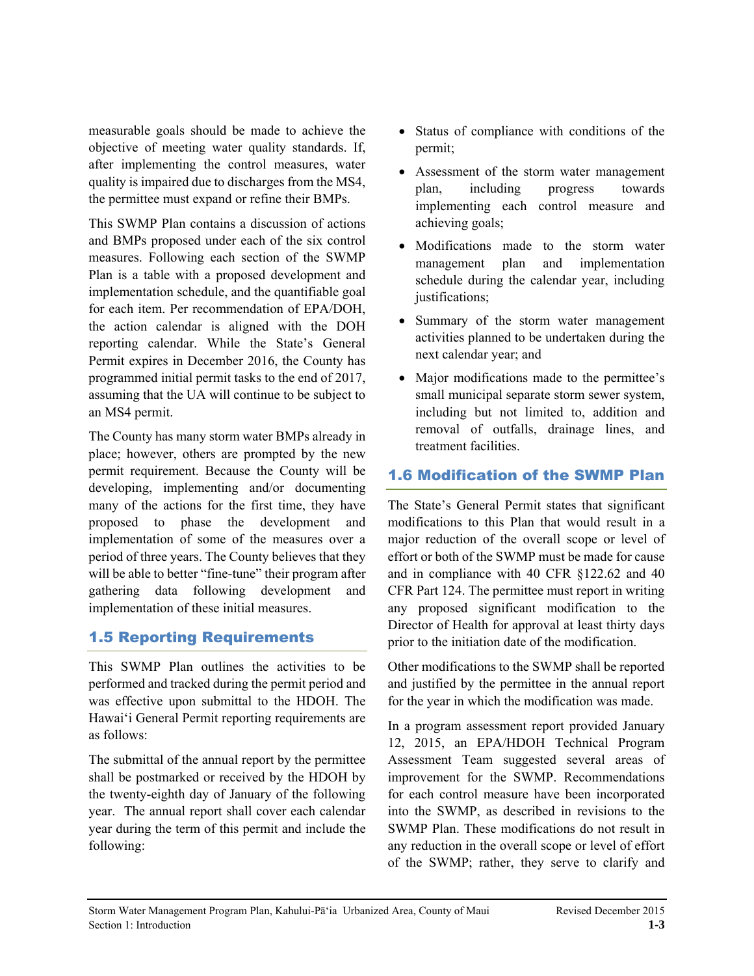measurable goals should be made to achieve the objective of meeting water quality standards. If, after implementing the control measures, water quality is impaired due to discharges from the MS4, the permittee must expand or refine their BMPs.

This SWMP Plan contains a discussion of actions and BMPs proposed under each of the six control measures. Following each section of the SWMP Plan is a table with a proposed development and implementation schedule, and the quantifiable goal for each item. Per recommendation of EPA/DOH, the action calendar is aligned with the DOH reporting calendar. While the State's General Permit expires in December 2016, the County has programmed initial permit tasks to the end of 2017, assuming that the UA will continue to be subject to an MS4 permit.

The County has many storm water BMPs already in place; however, others are prompted by the new permit requirement. Because the County will be developing, implementing and/or documenting many of the actions for the first time, they have proposed to phase the development and implementation of some of the measures over a period of three years. The County believes that they will be able to better "fine-tune" their program after gathering data following development and implementation of these initial measures.

## 1.5 Reporting Requirements

This SWMP Plan outlines the activities to be performed and tracked during the permit period and was effective upon submittal to the HDOH. The Hawai'i General Permit reporting requirements are as follows:

The submittal of the annual report by the permittee shall be postmarked or received by the HDOH by the twenty-eighth day of January of the following year. The annual report shall cover each calendar year during the term of this permit and include the following:

- Status of compliance with conditions of the permit;
- Assessment of the storm water management plan, including progress towards implementing each control measure and achieving goals;
- Modifications made to the storm water management plan and implementation schedule during the calendar year, including justifications;
- Summary of the storm water management activities planned to be undertaken during the next calendar year; and
- Major modifications made to the permittee's small municipal separate storm sewer system, including but not limited to, addition and removal of outfalls, drainage lines, and treatment facilities.

## 1.6 Modification of the SWMP Plan

The State's General Permit states that significant modifications to this Plan that would result in a major reduction of the overall scope or level of effort or both of the SWMP must be made for cause and in compliance with 40 CFR §122.62 and 40 CFR Part 124. The permittee must report in writing any proposed significant modification to the Director of Health for approval at least thirty days prior to the initiation date of the modification.

Other modifications to the SWMP shall be reported and justified by the permittee in the annual report for the year in which the modification was made.

In a program assessment report provided January 12, 2015, an EPA/HDOH Technical Program Assessment Team suggested several areas of improvement for the SWMP. Recommendations for each control measure have been incorporated into the SWMP, as described in revisions to the SWMP Plan. These modifications do not result in any reduction in the overall scope or level of effort of the SWMP; rather, they serve to clarify and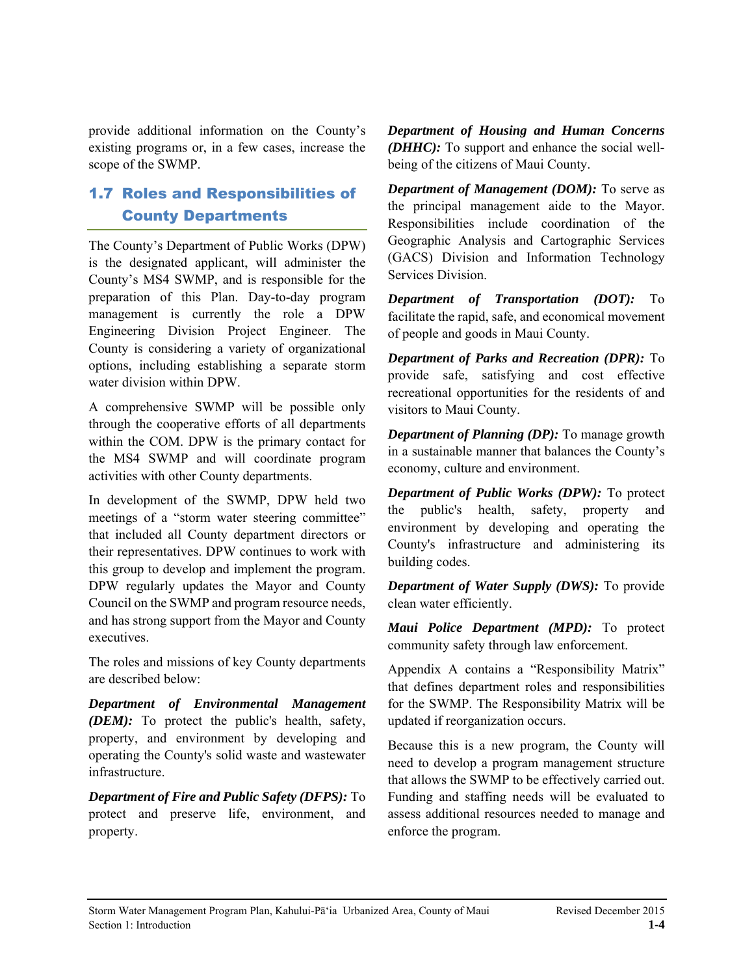provide additional information on the County's existing programs or, in a few cases, increase the scope of the SWMP.

# 1.7 Roles and Responsibilities of County Departments

The County's Department of Public Works (DPW) is the designated applicant, will administer the County's MS4 SWMP, and is responsible for the preparation of this Plan. Day-to-day program management is currently the role a DPW Engineering Division Project Engineer. The County is considering a variety of organizational options, including establishing a separate storm water division within DPW.

A comprehensive SWMP will be possible only through the cooperative efforts of all departments within the COM. DPW is the primary contact for the MS4 SWMP and will coordinate program activities with other County departments.

In development of the SWMP, DPW held two meetings of a "storm water steering committee" that included all County department directors or their representatives. DPW continues to work with this group to develop and implement the program. DPW regularly updates the Mayor and County Council on the SWMP and program resource needs, and has strong support from the Mayor and County executives.

The roles and missions of key County departments are described below:

*Department of Environmental Management (DEM):* To protect the public's health, safety, property, and environment by developing and operating the County's solid waste and wastewater infrastructure.

*Department of Fire and Public Safety (DFPS):* To protect and preserve life, environment, and property.

*Department of Housing and Human Concerns (DHHC):* To support and enhance the social wellbeing of the citizens of Maui County.

*Department of Management (DOM):* To serve as the principal management aide to the Mayor. Responsibilities include coordination of the Geographic Analysis and Cartographic Services (GACS) Division and Information Technology Services Division.

*Department of Transportation (DOT):* To facilitate the rapid, safe, and economical movement of people and goods in Maui County.

*Department of Parks and Recreation (DPR):* To provide safe, satisfying and cost effective recreational opportunities for the residents of and visitors to Maui County.

*Department of Planning (DP):* To manage growth in a sustainable manner that balances the County's economy, culture and environment.

*Department of Public Works (DPW):* To protect the public's health, safety, property and environment by developing and operating the County's infrastructure and administering its building codes.

*Department of Water Supply (DWS):* To provide clean water efficiently.

*Maui Police Department (MPD):* To protect community safety through law enforcement.

Appendix A contains a "Responsibility Matrix" that defines department roles and responsibilities for the SWMP. The Responsibility Matrix will be updated if reorganization occurs.

Because this is a new program, the County will need to develop a program management structure that allows the SWMP to be effectively carried out. Funding and staffing needs will be evaluated to assess additional resources needed to manage and enforce the program.